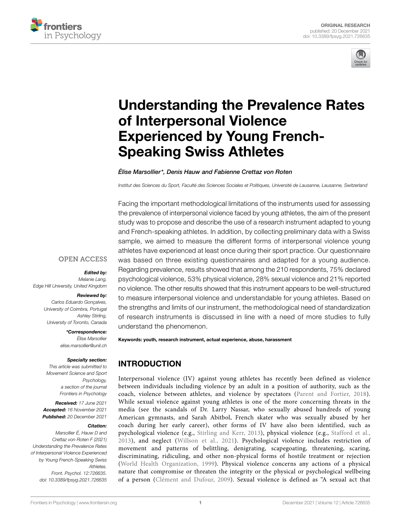



# [Understanding the Prevalence Rates](https://www.frontiersin.org/articles/10.3389/fpsyg.2021.726635/full)  [of Interpersonal Violence](https://www.frontiersin.org/articles/10.3389/fpsyg.2021.726635/full)  [Experienced by Young French-](https://www.frontiersin.org/articles/10.3389/fpsyg.2021.726635/full)[Speaking Swiss Athletes](https://www.frontiersin.org/articles/10.3389/fpsyg.2021.726635/full)

#### *Élise Marsollier\*, Denis Hauw and Fabienne Crettaz von Roten*

*Institut des Sciences du Sport, Faculté des Sciences Sociales et Politiques, Université de Lausanne, Lausanne, Switzerland*

Facing the important methodological limitations of the instruments used for assessing the prevalence of interpersonal violence faced by young athletes, the aim of the present study was to propose and describe the use of a research instrument adapted to young and French-speaking athletes. In addition, by collecting preliminary data with a Swiss sample, we aimed to measure the different forms of interpersonal violence young athletes have experienced at least once during their sport practice. Our questionnaire was based on three existing questionnaires and adapted for a young audience. Regarding prevalence, results showed that among the 210 respondents, 75% declared psychological violence, 53% physical violence, 28% sexual violence and 21% reported no violence. The other results showed that this instrument appears to be well-structured to measure interpersonal violence and understandable for young athletes. Based on the strengths and limits of our instrument, the methodological need of standardization of research instruments is discussed in line with a need of more studies to fully understand the phenomenon.

#### **OPEN ACCESS**

#### *Edited by:*

*Melanie Lang, Edge Hill University, United Kingdom*

#### *Reviewed by:*

*Carlos Eduardo Gonçalves, University of Coimbra, Portugal Ashley Stirling, University of Toronto, Canada*

#### *\*Correspondence:*

*Élise Marsollier [elise.marsollier@unil.ch](mailto:elise.marsollier@unil.ch)*

#### *Specialty section:*

*This article was submitted to Movement Science and Sport Psychology, a section of the journal Frontiers in Psychology*

*Received: 17 June 2021 Accepted: 16 November 2021 Published: 20 December 2021*

#### *Citation:*

*Marsollier É, Hauw D and Crettaz von Roten F (2021) Understanding the Prevalence Rates of Interpersonal Violence Experienced by Young French-Speaking Swiss Athletes. Front. Psychol. 12:726635. [doi: 10.3389/fpsyg.2021.726635](https://doi.org/10.3389/fpsyg.2021.726635)*

Keywords: youth, research instrument, actual experience, abuse, harassment

# INTRODUCTION

Interpersonal violence (IV) against young athletes has recently been defined as violence between individuals including violence by an adult in a position of authority, such as the coach, violence between athletes, and violence by spectators [\(Parent and Fortier, 2018](#page-9-0)). While sexual violence against young athletes is one of the more concerning threats in the media (see the scandals of Dr. Larry Nassar, who sexually abused hundreds of young American gymnasts, and Sarah Abitbol, French skater who was sexually abused by her coach during her early career), other forms of IV have also been identified, such as psychological violence (e.g., [Stirling and Kerr, 2013\)](#page-9-1), physical violence (e.g., [Stafford et al.,](#page-9-2)  [2013\)](#page-9-2), and neglect [\(Willson et al., 2021](#page-9-3)). Psychological violence includes restriction of movement and patterns of belittling, denigrating, scapegoating, threatening, scaring, discriminating, ridiculing, and other non-physical forms of hostile treatment or rejection [\(World Health Organization, 1999\)](#page-9-4). Physical violence concerns any actions of a physical nature that compromise or threaten the integrity or the physical or psychological wellbeing of a person ([Clément and Dufour, 2009](#page-8-0)). Sexual violence is defined as "A sexual act that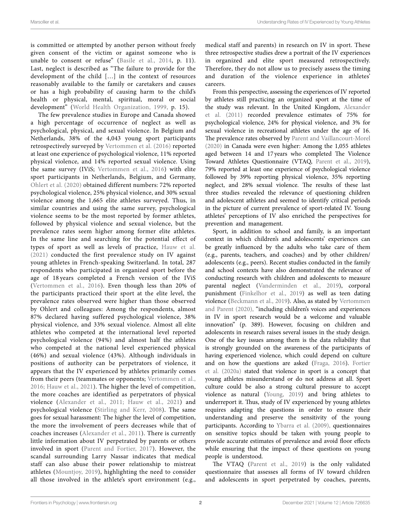is committed or attempted by another person without freely given consent of the victim or against someone who is unable to consent or refuse" [\(Basile et al., 2014](#page-8-1), p. 11). Last, neglect is described as "The failure to provide for the development of the child […] in the context of resources reasonably available to the family or caretakers and causes or has a high probability of causing harm to the child's health or physical, mental, spiritual, moral or social development" [\(World Health Organization, 1999](#page-9-4), p. 15).

The few prevalence studies in Europe and Canada showed a high percentage of occurrence of neglect as well as psychological, physical, and sexual violence. In Belgium and Netherlands, 38% of the 4,043 young sport participants retrospectively surveyed by [Vertommen et al. \(2016\)](#page-9-5) reported at least one experience of psychological violence, 11% reported physical violence, and 14% reported sexual violence. Using the same survey (IViS; [Vertommen et al., 2016\)](#page-9-5) with elite sport participants in Netherlands, Belgium, and Germany, [Ohlert et al. \(2020\)](#page-8-2) obtained different numbers: 72% reported psychological violence, 25% physical violence, and 30% sexual violence among the 1,665 elite athletes surveyed. Thus, in similar countries and using the same survey, psychological violence seems to be the most reported by former athletes, followed by physical violence and sexual violence, but the prevalence rates seem higher among former elite athletes. In the same line and searching for the potential effect of types of sport as well as levels of practice, [Hauw et al.](#page-8-3)  [\(2021\)](#page-8-3) conducted the first prevalence study on IV against young athletes in French-speaking Switzerland. In total, 287 respondents who participated in organized sport before the age of 18 years completed a French version of the IViS ([Vertommen et al., 2016](#page-9-5)). Even though less than 20% of the participants practiced their sport at the elite level, the prevalence rates observed were higher than those observed by Ohlert and colleagues: Among the respondents, almost 87% declared having suffered psychological violence, 38% physical violence, and 33% sexual violence. Almost all elite athletes who competed at the international level reported psychological violence (94%) and almost half the athletes who competed at the national level experienced physical (46%) and sexual violence (43%). Although individuals in positions of authority can be perpetrators of violence, it appears that the IV experienced by athletes primarily comes from their peers (teammates or opponents; [Vertommen et al.,](#page-9-5)  [2016](#page-9-5); [Hauw et al., 2021](#page-8-3)). The higher the level of competition, the more coaches are identified as perpetrators of physical violence ([Alexander et al., 2011](#page-8-4); [Hauw et al., 2021](#page-8-3)) and psychological violence [\(Stirling and Kerr, 2008\)](#page-9-6). The same goes for sexual harassment: The higher the level of competition, the more the involvement of peers decreases while that of coaches increases ([Alexander et al., 2011\)](#page-8-4). There is currently little information about IV perpetrated by parents or others involved in sport ([Parent and Fortier, 2017](#page-8-5)). However, the scandal surrounding Larry Nassar indicates that medical staff can also abuse their power relationship to mistreat athletes ([Mountjoy, 2019](#page-8-6)), highlighting the need to consider all those involved in the athlete's sport environment (e.g.,

medical staff and parents) in research on IV in sport. These three retrospective studies drew a portrait of the IV experiences in organized and elite sport measured retrospectively. Therefore, they do not allow us to precisely assess the timing and duration of the violence experience in athletes' careers.

From this perspective, assessing the experiences of IV reported by athletes still practicing an organized sport at the time of the study was relevant. In the United Kingdom, [Alexander](#page-8-4)  [et al. \(2011\)](#page-8-4) recorded prevalence estimates of 75% for psychological violence, 24% for physical violence, and 3% for sexual violence in recreational athletes under the age of 16. The prevalence rates observed by [Parent and Vaillancourt-Morel](#page-9-7)  [\(2020\)](#page-9-7) in Canada were even higher: Among the 1,055 athletes aged between 14 and 17 years who completed The Violence Toward Athletes Questionnaire (VTAQ, [Parent et al., 2019](#page-9-8)), 79% reported at least one experience of psychological violence followed by 39% reporting physical violence, 35% reporting neglect, and 28% sexual violence. The results of these last three studies revealed the relevance of questioning children and adolescent athletes and seemed to identify critical periods in the picture of current prevalence of sport-related IV. Young athletes' perceptions of IV also enriched the perspectives for prevention and management.

Sport, in addition to school and family, is an important context in which children's and adolescents' experiences can be greatly influenced by the adults who take care of them (e.g., parents, teachers, and coaches) and by other children/ adolescents (e.g., peers). Recent studies conducted in the family and school contexts have also demonstrated the relevance of conducting research with children and adolescents to measure parental neglect ([Vanderminden et al., 2019](#page-9-9)), corporal punishment [\(Finkelhor et al., 2019\)](#page-8-7) as well as teen dating violence [\(Beckmann et al., 2019](#page-8-8)). Also, as stated by [Vertommen](#page-9-10)  [and Parent \(2020\),](#page-9-10) "including children's voices and experiences in IV in sport research would be a welcome and valuable innovation" (p. 389). However, focusing on children and adolescents in research raises several issues in the study design. One of the key issues among them is the data reliability that is strongly grounded on the awareness of the participants of having experienced violence, which could depend on culture and on how the questions are asked [\(Fraga, 2016\)](#page-8-9). [Fortier](#page-8-10)  [et al. \(2020a\)](#page-8-10) stated that violence in sport is a concept that young athletes misunderstand or do not address at all. Sport culture could be also a strong cultural pressure to accept violence as natural [\(Young, 2019](#page-9-11)) and bring athletes to underreport it. Thus, study of IV experienced by young athletes requires adapting the questions in order to ensure their understanding and preserve the sensitivity of the young participants. According to [Ybarra et al. \(2009\),](#page-9-12) questionnaires on sensitive topics should be taken with young people to provide accurate estimates of prevalence and avoid floor effects while ensuring that the impact of these questions on young people is understood.

The VTAQ ([Parent et al., 2019\)](#page-9-8) is the only validated questionnaire that assesses all forms of IV toward children and adolescents in sport perpetrated by coaches, parents,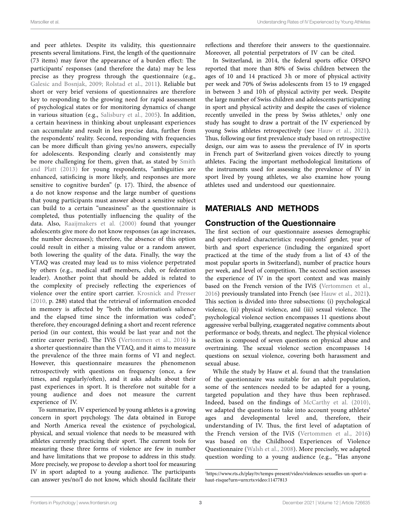and peer athletes. Despite its validity, this questionnaire presents several limitations. First, the length of the questionnaire (73 items) may favor the appearance of a burden effect: The participants' responses (and therefore the data) may be less precise as they progress through the questionnaire (e.g., [Galesic and Bosnjak, 2009](#page-8-11); [Rolstad et al., 2011\)](#page-9-13). Reliable but short or very brief versions of questionnaires are therefore key to responding to the growing need for rapid assessment of psychological states or for monitoring dynamics of change in various situation (e.g., [Salisbury et al., 2005\)](#page-9-14). In addition, a certain heaviness in thinking about unpleasant experiences can accumulate and result in less precise data, further from the respondents' reality. Second, responding with frequencies can be more difficult than giving yes/no answers, especially for adolescents. Responding clearly and consistently may be more challenging for them, given that, as stated by [Smith](#page-9-15)  [and Platt \(2013\)](#page-9-15) for young respondents, "ambiguities are enhanced, satisficing is more likely, and responses are more sensitive to cognitive burden" (p. 17). Third, the absence of a do not know response and the large number of questions that young participants must answer about a sensitive subject can build to a certain "uneasiness" as the questionnaire is completed, thus potentially influencing the quality of the data. Also, [Raaijmakers et al. \(2000\)](#page-9-16) found that younger adolescents give more do not know responses (as age increases, the number decreases); therefore, the absence of this option could result in either a missing value or a random answer, both lowering the quality of the data. Finally, the way the VTAQ was created may lead us to miss violence perpetrated by others (e.g., medical staff members, club, or federation leader). Another point that should be added is related to the complexity of precisely reflecting the experiences of violence over the entire sport carrier. [Krosnick and Presser](#page-8-12)  [\(2010](#page-8-12), p. 288) stated that the retrieval of information encoded in memory is affected by "both the information's salience and the elapsed time since the information was coded"; therefore, they encouraged defining a short and recent reference period (in our context, this would be last year and not the entire career period). The IViS ([Vertommen et al., 2016\)](#page-9-5) is a shorter questionnaire than the VTAQ, and it aims to measure the prevalence of the three main forms of VI and neglect. However, this questionnaire measures the phenomenon retrospectively with questions on frequency (once, a few times, and regularly/often), and it asks adults about their past experiences in sport. It is therefore not suitable for a young audience and does not measure the current experience of IV.

To summarize, IV experienced by young athletes is a growing concern in sport psychology. The data obtained in Europe and North America reveal the existence of psychological, physical, and sexual violence that needs to be measured with athletes currently practicing their sport. The current tools for measuring these three forms of violence are few in number and have limitations that we propose to address in this study. More precisely, we propose to develop a short tool for measuring IV in sport adapted to a young audience. The participants can answer yes/no/I do not know, which should facilitate their reflections and therefore their answers to the questionnaire. Moreover, all potential perpetrators of IV can be cited.

In Switzerland, in 2014, the federal sports office OFSPO reported that more than 80% of Swiss children between the ages of 10 and 14 practiced 3h or more of physical activity per week and 70% of Swiss adolescents from 15 to 19 engaged in between 3 and 10h of physical activity per week. Despite the large number of Swiss children and adolescents participating in sport and physical activity and despite the cases of violence recently unveiled in the press by Swiss athletes,<sup>[1](#page-2-0)</sup> only one study has sought to draw a portrait of the IV experienced by young Swiss athletes retrospectively (see Hauw et al., 2021). Thus, following our first prevalence study based on retrospective design, our aim was to assess the prevalence of IV in sports in French part of Switzerland given voices directly to young athletes. Facing the important methodological limitations of the instruments used for assessing the prevalence of IV in sport lived by young athletes, we also examine how young athletes used and understood our questionnaire.

## MATERIALS AND METHODS

### Construction of the Questionnaire

The first section of our questionnaire assesses demographic and sport-related characteristics: respondents' gender, year of birth and sport experience (including the organized sport practiced at the time of the study from a list of 43 of the most popular sports in Switzerland), number of practice hours per week, and level of competition. The second section assesses the experience of IV in the sport context and was mainly based on the French version of the IViS [\(Vertommen et al.,](#page-9-5)  [2016\)](#page-9-5) previously translated into French (see [Hauw et al., 2021](#page-8-3)). This section is divided into three subsections: (i) psychological violence, (ii) physical violence, and (iii) sexual violence. The psychological violence section encompasses 11 questions about aggressive verbal bullying, exaggerated negative comments about performance or body, threats, and neglect. The physical violence section is composed of seven questions on physical abuse and overtraining. The sexual violence section encompasses 14 questions on sexual violence, covering both harassment and sexual abuse.

While the study by Hauw et al. found that the translation of the questionnaire was suitable for an adult population, some of the sentences needed to be adapted for a young, targeted population and they have thus been rephrased. Indeed, based on the findings of [McCarthy et al. \(2010\),](#page-8-13) we adapted the questions to take into account young athletes' ages and developmental level and, therefore, their understanding of IV. Thus, the first level of adaptation of the French version of the IViS ([Vertommen et al., 2016\)](#page-9-5) was based on the Childhood Experiences of Violence Questionnaire ([Walsh et al., 2008\)](#page-9-17). More precisely, we adapted question wording to a young audience (e.g., "Has anyone

<span id="page-2-0"></span><sup>1</sup> [https://www.rts.ch/play/tv/temps-present/video/violences-sexuelles-un-sport-a](https://www.rts.ch/play/tv/temps-present/video/violences-sexuelles-un-sport-a-haut-risque?urn=urn:rts:video:11477813)[haut-risque?urn=urn:rts:video:11477813](https://www.rts.ch/play/tv/temps-present/video/violences-sexuelles-un-sport-a-haut-risque?urn=urn:rts:video:11477813)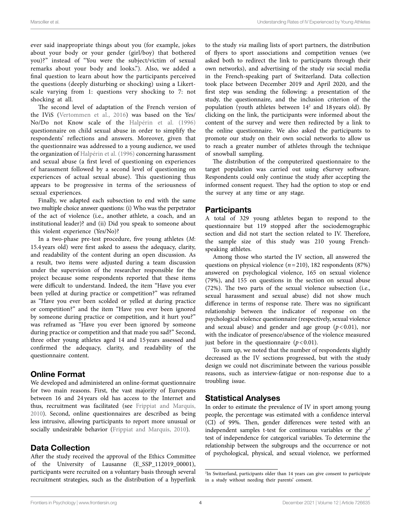ever said inappropriate things about you (for example, jokes about your body or your gender (girl/boy) that bothered you)?" instead of "You were the subject/victim of sexual remarks about your body and looks."). Also, we added a final question to learn about how the participants perceived the questions (deeply disturbing or shocking) using a Likertscale varying from 1: questions very shocking to 7: not shocking at all.

The second level of adaptation of the French version of the IViS [\(Vertommen et al., 2016\)](#page-9-5) was based on the Yes/ No/Do not Know scale of the [Halpérin et al. \(1996\)](#page-8-14) questionnaire on child sexual abuse in order to simplify the respondents' reflections and answers. Moreover, given that the questionnaire was addressed to a young audience, we used the organization of [Halpérin et al. \(1996\)](#page-8-14) concerning harassment and sexual abuse (a first level of questioning on experiences of harassment followed by a second level of questioning on experiences of actual sexual abuse). This questioning thus appears to be progressive in terms of the seriousness of sexual experiences.

Finally, we adapted each subsection to end with the same two multiple choice answer questions: (i) Who was the perpetrator of the act of violence (i.e., another athlete, a coach, and an institutional leader)? and (ii) Did you speak to someone about this violent experience (Yes/No)?

In a two-phase pre-test procedure, five young athletes (*M*: 15.4 years old) were first asked to assess the adequacy, clarity, and readability of the content during an open discussion. As a result, two items were adjusted during a team discussion under the supervision of the researcher responsible for the project because some respondents reported that these items were difficult to understand. Indeed, the item "Have you ever been yelled at during practice or competition?" was reframed as "Have you ever been scolded or yelled at during practice or competition?" and the item "Have you ever been ignored by someone during practice or competition, and it hurt you?" was reframed as "Have you ever been ignored by someone during practice or competition and that made you sad?" Second, three other young athletes aged 14 and 15 years assessed and confirmed the adequacy, clarity, and readability of the questionnaire content.

### Online Format

We developed and administered an online-format questionnaire for two main reasons. First, the vast majority of Europeans between 16 and 24 years old has access to the Internet and thus, recruitment was facilitated (see [Frippiat and Marquis,](#page-8-15)  [2010\)](#page-8-15). Second, online questionnaires are described as being less intrusive, allowing participants to report more unusual or socially undesirable behavior [\(Frippiat and Marquis, 2010\)](#page-8-15).

### Data Collection

After the study received the approval of the Ethics Committee of the University of Lausanne (E\_SSP\_112019\_00001), participants were recruited on a voluntary basis through several recruitment strategies, such as the distribution of a hyperlink to the study *via* mailing lists of sport partners, the distribution of flyers to sport associations and competition venues (we asked both to redirect the link to participants through their own networks), and advertising of the study *via* social media in the French-speaking part of Switzerland. Data collection took place between December 2019 and April 2020, and the first step was sending the following: a presentation of the study, the questionnaire, and the inclusion criterion of the population (youth athletes between  $14<sup>2</sup>$  and 18 years old). By clicking on the link, the participants were informed about the content of the survey and were then redirected by a link to the online questionnaire. We also asked the participants to promote our study on their own social networks to allow us to reach a greater number of athletes through the technique of snowball sampling.

The distribution of the computerized questionnaire to the target population was carried out using eSurvey software. Respondents could only continue the study after accepting the informed consent request. They had the option to stop or end the survey at any time or any stage.

#### **Participants**

A total of 329 young athletes began to respond to the questionnaire but 119 stopped after the sociodemographic section and did not start the section related to IV. Therefore, the sample size of this study was 210 young Frenchspeaking athletes.

Among those who started the IV section, all answered the questions on physical violence (*n*=210), 182 respondents (87%) answered on psychological violence, 165 on sexual violence (79%), and 155 on questions in the section on sexual abuse (72%). The two parts of the sexual violence subsection (i.e., sexual harassment and sexual abuse) did not show much difference in terms of response rate. There was no significant relationship between the indicator of response on the psychological violence questionnaire (respectively, sexual violence and sexual abuse) and gender and age group  $(p < 0.01)$ , nor with the indicator of presence/absence of the violence measured just before in the questionnaire  $(p < 0.01)$ .

To sum up, we noted that the number of respondents slightly decreased as the IV sections progressed, but with the study design we could not discriminate between the various possible reasons, such as interview-fatigue or non-response due to a troubling issue.

### Statistical Analyses

In order to estimate the prevalence of IV in sport among young people, the percentage was estimated with a confidence interval (CI) of 99%. Then, gender differences were tested with an independent samples t-test for continuous variables or the  $\chi^2$ test of independence for categorical variables. To determine the relationship between the subgroups and the occurrence or not of psychological, physical, and sexual violence, we performed

<span id="page-3-0"></span><sup>2</sup> In Switzerland, participants older than 14 years can give consent to participate in a study without needing their parents' consent.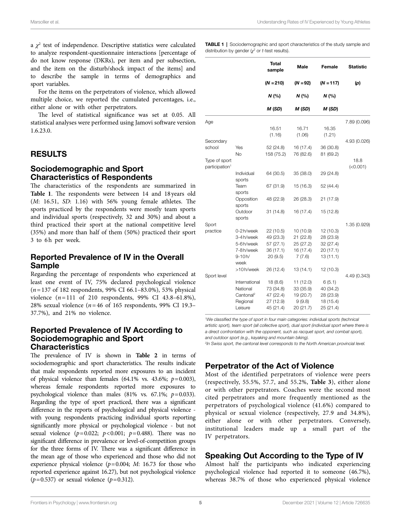a  $\chi^2$  test of independence. Descriptive statistics were calculated to analyze respondent-questionnaire interactions [percentage of do not know response (DKRs), per item and per subsection, and the item on the disturb/shock impact of the items] and to describe the sample in terms of demographics and sport variables.

For the items on the perpetrators of violence, which allowed multiple choice, we reported the cumulated percentages, i.e., either alone or with other perpetrators.

The level of statistical significance was set at 0.05. All statistical analyses were performed using Jamovi software version 1.6.23.0.

## RESULTS

### Sociodemographic and Sport Characteristics of Respondents

The characteristics of the respondents are summarized in **[Table 1](#page-4-0)**. The respondents were between 14 and 18 years old (*M*: 16.51, *SD*: 1.16) with 56% young female athletes. The sports practiced by the respondents were mostly team sports and individual sports (respectively, 32 and 30%) and about a third practiced their sport at the national competitive level (35%) and more than half of them (50%) practiced their sport 3 to 6h per week.

# Reported Prevalence of IV in the Overall Sample

Regarding the percentage of respondents who experienced at least one event of IV, 75% declared psychological violence (*n*=137 of 182 respondents, 99% CI 66.1–83.0%), 53% physical violence (*n*=111 of 210 respondents, 99% CI 43.8–61.8%), 28% sexual violence (*n*=46 of 165 respondents, 99% CI 19.3– 37.7%), and 21% no violence.

#### Reported Prevalence of IV According to Sociodemographic and Sport **Characteristics**

The prevalence of IV is shown in **[Table 2](#page-5-0)** in terms of sociodemographic and sport characteristics. The results indicate that male respondents reported more exposures to an incident of physical violence than females  $(64.1\% \text{ vs. } 43.6\%; p=0.003)$ , whereas female respondents reported more exposures to psychological violence than males (81% vs. 67.1%; *p*=0.033). Regarding the type of sport practiced, there was a significant difference in the reports of psychological and physical violence with young respondents practicing individual sports reporting significantly more physical or psychological violence - but not sexual violence ( $p=0.022$ ;  $p<0.001$ ;  $p=0.488$ ). There was no significant difference in prevalence or level-of-competition groups for the three forms of IV. There was a significant difference in the mean age of those who experienced and those who did not experience physical violence  $(p=0.004; M: 16.73$  for those who reported experience against 16.27), but not psychological violence (*p*=0.537) or sexual violence (*p*=0.312).

<span id="page-4-0"></span>TABLE 1 | Sociodemographic and sport characteristics of the study sample and distribution by gender (*χ*<sup>2</sup> or *t*-test results).

|                            |                       | Total<br>sample | Male       | Female      | <b>Statistic</b> |
|----------------------------|-----------------------|-----------------|------------|-------------|------------------|
|                            |                       | $(N = 210)$     | $(N = 92)$ | $(N = 117)$ | (p)              |
|                            |                       | N(%             | N (%)      | N (%)       |                  |
|                            |                       | M (SD)          | M (SD)     | M (SD)      |                  |
| Age                        |                       |                 |            |             | 7.89 (0.096)     |
|                            |                       | 16.51           | 16.71      | 16.35       |                  |
|                            |                       | (1.16)          | (1.06)     | (1.21)      |                  |
| Secondary                  |                       |                 |            |             | 4.93 (0.026)     |
| school                     | Yes                   | 52 (24.8)       | 16 (17.4)  | 36 (30.8)   |                  |
|                            | <b>No</b>             | 158 (75.2)      | 76 (82.6)  | 81 (69.2)   |                  |
| Type of sport              |                       |                 |            |             | 18.8             |
| participation <sup>1</sup> |                       |                 |            |             | (<0.001)         |
|                            | Individual            | 64 (30.5)       | 35 (38.0)  | 29 (24.8)   |                  |
|                            | sports                |                 |            |             |                  |
|                            | Team                  | 67 (31.9)       | 15 (16.3)  | 52 (44.4)   |                  |
|                            | sports                |                 |            |             |                  |
|                            | Opposition            | 48 (22.9)       | 26 (28.3)  | 21 (17.9)   |                  |
|                            | sports                |                 |            |             |                  |
|                            | Outdoor               | 31 (14.8)       | 16 (17.4)  | 15 (12.8)   |                  |
|                            | sports                |                 |            |             |                  |
| Sport                      |                       |                 |            |             | 1.35 (0.929)     |
| practice                   | 0-2h/week             | 22 (10.5)       | 10 (10.9)  | 12 (10.3)   |                  |
|                            | 3-4h/week             | 49 (23.3)       | 21(22.8)   | 28 (23.9)   |                  |
|                            | 5-6h/week             | 57(27.1)        | 25 (27.2)  | 32 (27.4)   |                  |
|                            | 7-8h/week             | 36(17.1)        | 16 (17.4)  | 20(17.1)    |                  |
|                            | 9-10h/                | 20(9.5)         | 7(7.6)     | 13 (11.1)   |                  |
|                            | week                  |                 |            |             |                  |
|                            | >10h/week             | 26 (12.4)       | 13 (14.1)  | 12 (10.3)   |                  |
| Sport level                |                       |                 |            |             | 4.49 (0.343)     |
|                            | International         | 18(8.6)         | 11 (12.0)  | 6(5.1)      |                  |
|                            | National              | 73 (34.8)       | 33 (35.9)  | 40 (34.2)   |                  |
|                            | Cantonal <sup>2</sup> | 47 (22.4)       | 19 (20.7)  | 28 (23.9)   |                  |
|                            | Regional              | 27 (12.9)       | 9(9.8)     | 18 (15.4)   |                  |
|                            | Leisure               | 45 (21.4)       | 20 (21.7)  | 25 (21.4)   |                  |

<sup>1</sup>We classified the type of sport in four main categories: individual sports (technical *artistic sport), team sport (all collective sport), dual sport (individual sport where there is a direct confrontation with the opponent, such as racquet sport, and combat sport), and outdoor sport (e.g., kayaking and mountain biking).*

*2 In Swiss sport, the cantonal level corresponds to the North American provincial level.*

# Perpetrator of the Act of Violence

Most of the identified perpetrators of violence were peers (respectively, 55.5%, 57.7, and 55.2%, **[Table 3](#page-5-1)**), either alone or with other perpetrators. Coaches were the second most cited perpetrators and more frequently mentioned as the perpetrators of psychological violence (41.6%) compared to physical or sexual violence (respectively, 27.9 and 34.8%), either alone or with other perpetrators. Conversely, institutional leaders made up a small part of the IV perpetrators.

### Speaking Out According to the Type of IV

Almost half the participants who indicated experiencing psychological violence had reported it to someone (46.7%), whereas 38.7% of those who experienced physical violence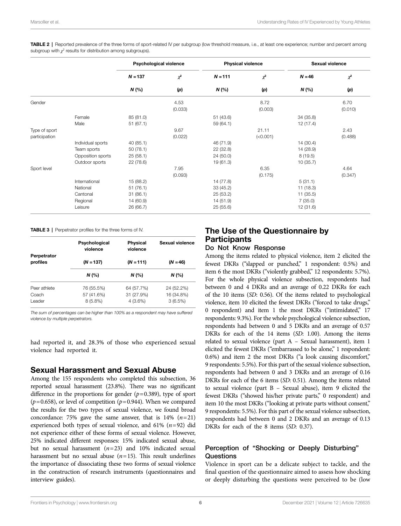<span id="page-5-0"></span>TABLE 2 | Reported prevalence of the three forms of sport-related IV per subgroup (low threshold measure, i.e., at least one experience; number and percent among subgroup with  $\chi^2$  results for distribution among subgroups).

|               |                   | Psychological violence |                 | <b>Physical violence</b> |                 | Sexual violence |                 |
|---------------|-------------------|------------------------|-----------------|--------------------------|-----------------|-----------------|-----------------|
|               |                   | $N = 137$              | $\chi^2$        | $N = 111$                | $\chi^2$        | $N = 46$        | $\chi^2$        |
|               |                   | N (%)                  | (p)             | N (%)                    | (p)             | N(%             | (p)             |
| Gender        |                   |                        | 4.53<br>(0.033) |                          | 8.72<br>(0.003) |                 | 6.70<br>(0.010) |
|               | Female            | 85 (81.0)              |                 | 51 (43.6)                |                 | 34 (35.8)       |                 |
|               | Male              | 51(67.1)               |                 | 59 (64.1)                |                 | 12 (17.4)       |                 |
| Type of sport |                   |                        | 9.67            |                          | 21.11           |                 | 2.43            |
| participation |                   |                        | (0.022)         |                          | (<0.001)        |                 | (0.488)         |
|               | Individual sports | 40(85.1)               |                 | 46 (71.9)                |                 | 14(30.4)        |                 |
|               | Team sports       | 50(78.1)               |                 | 22(32.8)                 |                 | 14 (28.9)       |                 |
|               | Opposition sports | 25(58.1)               |                 | 24 (50.0)                |                 | 8(19.5)         |                 |
|               | Outdoor sports    | 22 (78.6)              |                 | 19 (61.3)                |                 | 10 (35.7)       |                 |
| Sport level   |                   |                        | 7.95            |                          | 6.35            |                 | 4.64            |
|               |                   |                        | (0.093)         |                          | (0.175)         |                 | (0.347)         |
|               | International     | 15 (88.2)              |                 | 14 (77.8)                |                 | 5(31.1)         |                 |
|               | National          | 51(76.1)               |                 | 33 (45.2)                |                 | 11 (18.3)       |                 |
|               | Cantonal          | 31(86.1)               |                 | 25 (53.2)                |                 | 11(35.5)        |                 |
|               | Regional          | 14 (60.9)              |                 | 14 (51.9)                |                 | 7(35.0)         |                 |
|               | Leisure           | 26 (66.7)              |                 | 25(55.6)                 |                 | 12 (31.6)       |                 |

<span id="page-5-1"></span>TABLE 3 | Perpetrator profiles for the three forms of IV.

|                                 | Psychological<br>violence              | <b>Physical</b><br>violence            | Sexual violence                     |  |
|---------------------------------|----------------------------------------|----------------------------------------|-------------------------------------|--|
| Perpetrator<br>profiles         | $(N = 137)$                            | $(N = 111)$                            | $(N = 46)$                          |  |
|                                 | N(%                                    | N (%)                                  | N (%)                               |  |
| Peer athlete<br>Coach<br>Leader | 76 (55.5%)<br>57 (41.6%)<br>$8(5.8\%)$ | 64 (57.7%)<br>31 (27.9%)<br>$4(3.6\%)$ | 24 (52.2%)<br>16 (34.8%)<br>3(6.5%) |  |

*The sum of percentages can be higher than 100% as a respondent may have suffered violence by multiple perpetrators.*

had reported it, and 28.3% of those who experienced sexual violence had reported it.

#### Sexual Harassment and Sexual Abuse

Among the 155 respondents who completed this subsection, 36 reported sexual harassment (23.8%). There was no significant difference in the proportions for gender (*p*=0.389), type of sport  $(p=0.658)$ , or level of competition ( $p=0.944$ ). When we compared the results for the two types of sexual violence, we found broad concordance: 75% gave the same answer, that is  $14\%$   $(n=21)$ experienced both types of sexual violence, and 61% (*n*=92) did not experience either of these forms of sexual violence. However, 25% indicated different responses: 15% indicated sexual abuse, but no sexual harassment (*n*=23) and 10% indicated sexual harassment but no sexual abuse  $(n=15)$ . This result underlines the importance of dissociating these two forms of sexual violence in the construction of research instruments (questionnaires and interview guides).

## The Use of the Questionnaire by **Participants**

#### Do Not Know Response

Among the items related to physical violence, item 2 elicited the fewest DKRs ("slapped or punched," 1 respondent: 0.5%) and item 6 the most DKRs ("violently grabbed," 12 respondents: 5.7%). For the whole physical violence subsection, respondents had between 0 and 4 DKRs and an average of 0.22 DKRs for each of the 10 items (*SD*: 0.56). Of the items related to psychological violence, item 10 elicited the fewest DKRs ("forced to take drugs," 0 respondent) and item 1 the most DKRs ("intimidated," 17 respondents: 9.3%). For the whole psychological violence subsection, respondents had between 0 and 5 DKRs and an average of 0.57 DKRs for each of the 14 items (*SD*: 1.00). Among the items related to sexual violence (part A – Sexual harassment), item 1 elicited the fewest DKRs ("embarrassed to be alone," 1 respondent: 0.6%) and item 2 the most DKRs ("a look causing discomfort," 9 respondents: 5.5%). For this part of the sexual violence subsection, respondents had between 0 and 3 DKRs and an average of 0.16 DKRs for each of the 6 items (*SD*: 0.51). Among the items related to sexual violence (part B – Sexual abuse), item 9 elicited the fewest DKRs ("showed his/her private parts," 0 respondent) and item 10 the most DKRs ("looking at private parts without consent," 9 respondents: 5.5%). For this part of the sexual violence subsection, respondents had between 0 and 2 DKRs and an average of 0.13 DKRs for each of the 8 items (*SD*: 0.37).

#### Perception of "Shocking or Deeply Disturbing" Questions

Violence in sport can be a delicate subject to tackle, and the final question of the questionnaire aimed to assess how shocking or deeply disturbing the questions were perceived to be (low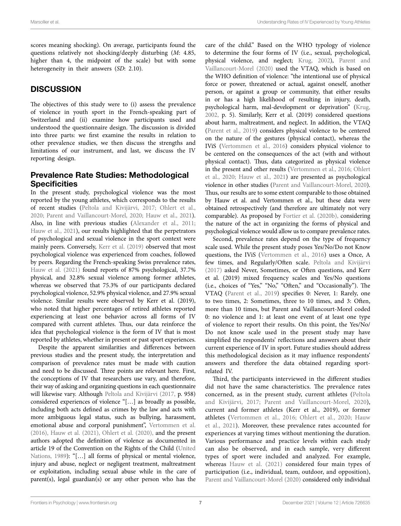scores meaning shocking). On average, participants found the questions relatively not shocking/deeply disturbing (*M*: 4.85, higher than 4, the midpoint of the scale) but with some heterogeneity in their answers (*SD*: 2.10).

# **DISCUSSION**

The objectives of this study were to (i) assess the prevalence of violence in youth sport in the French-speaking part of Switzerland and (ii) examine how participants used and understood the questionnaire design. The discussion is divided into three parts: we first examine the results in relation to other prevalence studies, we then discuss the strengths and limitations of our instrument, and last, we discuss the IV reporting design.

### Prevalence Rate Studies: Methodological **Specificities**

In the present study, psychological violence was the most reported by the young athletes, which corresponds to the results of recent studies [\(Peltola and Kivijärvi, 2017;](#page-9-18) [Ohlert et al.,](#page-8-2)  [2020](#page-8-2); [Parent and Vaillancourt-Morel, 2020;](#page-9-7) [Hauw et al., 2021](#page-8-3)). Also, in line with previous studies [\(Alexander et al., 2011](#page-8-4); [Hauw et al., 2021\)](#page-8-3), our results highlighted that the perpetrators of psychological and sexual violence in the sport context were mainly peers. Conversely, [Kerr et al. \(2019\)](#page-8-16) observed that most psychological violence was experienced from coaches, followed by peers. Regarding the French-speaking Swiss prevalence rates, Hauw et al. (2021) found reports of 87% psychological, 37.7% physical, and 32.8% sexual violence among former athletes, whereas we observed that 75.3% of our participants declared psychological violence, 52.9% physical violence, and 27.9% sexual violence. Similar results were observed by Kerr et al. (2019), who noted that higher percentages of retired athletes reported experiencing at least one behavior across all forms of IV compared with current athletes. Thus, our data reinforce the idea that psychological violence is the form of IV that is most reported by athletes, whether in present or past sport experiences.

Despite the apparent similarities and differences between previous studies and the present study, the interpretation and comparison of prevalence rates must be made with caution and need to be discussed. Three points are relevant here. First, the conceptions of IV that researchers use vary, and therefore, their way of asking and organizing questions in each questionnaire will likewise vary. Although [Peltola and Kivijärvi \(2017](#page-9-18), p. 958) considered experiences of violence "[…] as broadly as possible, including both acts defined as crimes by the law and acts with more ambiguous legal status, such as bullying, harassment, emotional abuse and corporal punishment", [Vertommen et al.](#page-9-5)  [\(2016\),](#page-9-5) [Hauw et al. \(2021\),](#page-8-3) [Ohlert et al. \(2020\),](#page-8-2) and the present authors adopted the definition of violence as documented in article 19 of the Convention on the Rights of the Child ([United](#page-9-19)  [Nations, 1989\)](#page-9-19): "[...] all forms of physical or mental violence, injury and abuse, neglect or negligent treatment, maltreatment or exploitation, including sexual abuse while in the care of parent(s), legal guardian(s) or any other person who has the care of the child." Based on the WHO typology of violence to determine the four forms of IV (i.e., sexual, psychological, physical violence, and neglect; [Krug, 2002](#page-8-17)), [Parent and](#page-9-7)  [Vaillancourt-Morel \(2020\)](#page-9-7) used the VTAQ, which is based on the WHO definition of violence: "the intentional use of physical force or power, threatened or actual, against oneself, another person, or against a group or community, that either results in or has a high likelihood of resulting in injury, death, psychological harm, mal-development or deprivation" [\(Krug,](#page-8-17)  [2002,](#page-8-17) p. 5). Similarly, Kerr et al. (2019) considered questions about harm, maltreatment, and neglect. In addition, the VTAQ [\(Parent et al., 2019\)](#page-9-8) considers physical violence to be centered on the nature of the gestures (physical contact), whereas the IViS ([Vertommen et al., 2016\)](#page-9-5) considers physical violence to be centered on the consequences of the act (with and without physical contact). Thus, data categorized as physical violence in the present and other results ([Vertommen et al., 2016](#page-9-5); [Ohlert](#page-8-2)  [et al., 2020](#page-8-2); [Hauw et al., 2021](#page-8-3)) are presented as psychological violence in other studies ([Parent and Vaillancourt-Morel, 2020\)](#page-9-7). Thus, our results are to some extent comparable to those obtained by Hauw et al. and Vertommen et al., but these data were obtained retrospectively (and therefore are ultimately not very comparable). As proposed by [Fortier et al. \(2020b\)](#page-8-18), considering the nature of the act in organizing the forms of physical and psychological violence would allow us to compare prevalence rates.

Second, prevalence rates depend on the type of frequency scale used. While the present study poses Yes/No/Do not Know questions, the IViS [\(Vertommen et al., 2016](#page-9-5)) uses a Once, A few times, and Regularly/Often scale. [Peltola and Kivijärvi](#page-9-18)  [\(2017\)](#page-9-18) asked Never, Sometimes, or Often questions, and Kerr et al. (2019) mixed frequency scales and Yes/No questions (i.e., choices of "Yes," "No," "Often," and "Occasionally"). The VTAQ ([Parent et al., 2019](#page-9-8)) specifies 0: Never, 1: Rarely, one to two times, 2: Sometimes, three to 10 times, and 3: Often, more than 10 times, but Parent and Vaillancourt-Morel coded 0: no violence and 1: at least one event of at least one type of violence to report their results. On this point, the Yes/No/ Do not know scale used in the present study may have simplified the respondents' reflections and answers about their current experience of IV in sport. Future studies should address this methodological decision as it may influence respondents' answers and therefore the data obtained regarding sportrelated IV.

Third, the participants interviewed in the different studies did not have the same characteristics. The prevalence rates concerned, as in the present study, current athletes ([Peltola](#page-9-18)  [and Kivijärvi, 2017;](#page-9-18) [Parent and Vaillancourt-Morel, 2020](#page-9-7)), current and former athletes (Kerr et al., 2019), or former athletes ([Vertommen et al., 2016](#page-9-5); [Ohlert et al., 2020;](#page-8-2) [Hauw](#page-8-3)  [et al., 2021\)](#page-8-3). Moreover, these prevalence rates accounted for experiences at varying times without mentioning the duration. Various performance and practice levels within each study can also be observed, and in each sample, very different types of sport were included and analyzed. For example, whereas Hauw et al. (2021) considered four main types of participation (i.e., individual, team, outdoor, and opposition), [Parent and Vaillancourt-Morel \(2020\)](#page-9-7) considered only individual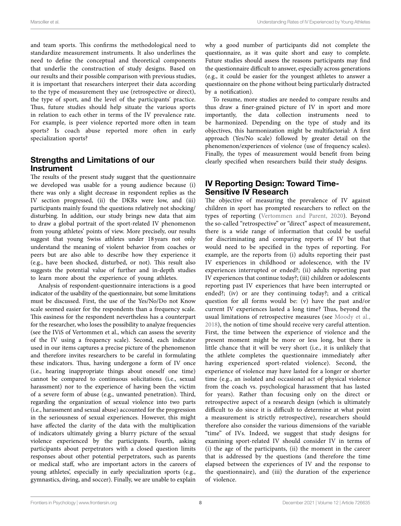and team sports. This confirms the methodological need to standardize measurement instruments. It also underlines the need to define the conceptual and theoretical components that underlie the construction of study designs. Based on our results and their possible comparison with previous studies, it is important that researchers interpret their data according to the type of measurement they use (retrospective or direct), the type of sport, and the level of the participants' practice. Thus, future studies should help situate the various sports in relation to each other in terms of the IV prevalence rate. For example, is peer violence reported more often in team sports? Is coach abuse reported more often in early specialization sports?

### Strengths and Limitations of our Instrument

The results of the present study suggest that the questionnaire we developed was usable for a young audience because (i) there was only a slight decrease in respondent replies as the IV section progressed, (ii) the DKRs were low, and (iii) participants mainly found the questions relatively not shocking/ disturbing. In addition, our study brings new data that aim to draw a global portrait of the sport-related IV phenomenon from young athletes' points of view. More precisely, our results suggest that young Swiss athletes under 18 years not only understand the meaning of violent behavior from coaches or peers but are also able to describe how they experience it (e.g., have been shocked, disturbed, or not). This result also suggests the potential value of further and in-depth studies to learn more about the experience of young athletes.

Analysis of respondent-questionnaire interactions is a good indicator of the usability of the questionnaire, but some limitations must be discussed. First, the use of the Yes/No/Do not Know scale seemed easier for the respondents than a frequency scale. This easiness for the respondent nevertheless has a counterpart for the researcher, who loses the possibility to analyze frequencies (see the IViS of Vertommen et al., which can assess the severity of the IV using a frequency scale). Second, each indicator used in our items captures a precise picture of the phenomenon and therefore invites researchers to be careful in formulating these indicators. Thus, having undergone a form of IV once (i.e., hearing inappropriate things about oneself one time) cannot be compared to continuous solicitations (i.e., sexual harassment) nor to the experience of having been the victim of a severe form of abuse (e.g., unwanted penetration). Third, regarding the organization of sexual violence into two parts (i.e., harassment and sexual abuse) accounted for the progression in the seriousness of sexual experiences. However, this might have affected the clarity of the data with the multiplication of indicators ultimately giving a blurry picture of the sexual violence experienced by the participants. Fourth, asking participants about perpetrators with a closed question limits responses about other potential perpetrators, such as parents or medical staff, who are important actors in the careers of young athletes', especially in early specialization sports (e.g., gymnastics, diving, and soccer). Finally, we are unable to explain

why a good number of participants did not complete the questionnaire, as it was quite short and easy to complete. Future studies should assess the reasons participants may find the questionnaire difficult to answer, especially across generations (e.g., it could be easier for the youngest athletes to answer a questionnaire on the phone without being particularly distracted by a notification).

To resume, more studies are needed to compare results and thus draw a finer-grained picture of IV in sport and more importantly, the data collection instruments need to be harmonized. Depending on the type of study and its objectives, this harmonization might be multifactorial: A first approach (Yes/No scale) followed by greater detail on the phenomenon/experiences of violence (use of frequency scales). Finally, the types of measurement would benefit from being clearly specified when researchers build their study designs.

### IV Reporting Design: Toward Time-Sensitive IV Research

The objective of measuring the prevalence of IV against children in sport has prompted researchers to reflect on the types of reporting ([Vertommen and Parent, 2020\)](#page-9-10). Beyond the so-called "retrospective" or "direct" aspect of measurement, there is a wide range of information that could be useful for discriminating and comparing reports of IV but that would need to be specified in the types of reporting. For example, are the reports from (i) adults reporting their past IV experiences in childhood or adolescence, with the IV experiences interrupted or ended?; (ii) adults reporting past IV experiences that continue today?; (iii) children or adolescents reporting past IV experiences that have been interrupted or ended?; (iv) or are they continuing today?; and a critical question for all forms would be: (v) have the past and/or current IV experiences lasted a long time? Thus, beyond the usual limitations of retrospective measures (see [Moody et al.,](#page-8-19)  [2018](#page-8-19)), the notion of time should receive very careful attention. First, the time between the experience of violence and the present moment might be more or less long, but there is little chance that it will be very short (i.e., it is unlikely that the athlete completes the questionnaire immediately after having experienced sport-related violence). Second, the experience of violence may have lasted for a longer or shorter time (e.g., an isolated and occasional act of physical violence from the coach vs. psychological harassment that has lasted for years). Rather than focusing only on the direct or retrospective aspect of a research design (which is ultimately difficult to do since it is difficult to determine at what point a measurement is strictly retrospective), researchers should therefore also consider the various dimensions of the variable "time" of IVs. Indeed, we suggest that study designs for examining sport-related IV should consider IV in terms of (i) the age of the participants, (ii) the moment in the career that is addressed by the questions (and therefore the time elapsed between the experiences of IV and the response to the questionnaire), and (iii) the duration of the experience of violence.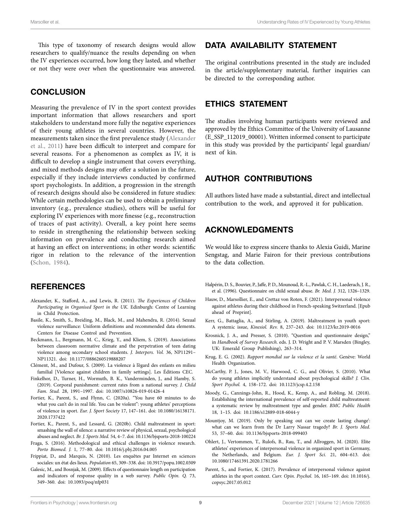This type of taxonomy of research designs would allow researchers to qualify/nuance the results depending on when the IV experiences occurred, how long they lasted, and whether or not they were over when the questionnaire was answered.

# **CONCLUSION**

Measuring the prevalence of IV in the sport context provides important information that allows researchers and sport stakeholders to understand more fully the negative experiences of their young athletes in several countries. However, the measurements taken since the first prevalence study ([Alexander](#page-8-4)  [et al., 2011\)](#page-8-4) have been difficult to interpret and compare for several reasons. For a phenomenon as complex as IV, it is difficult to develop a single instrument that covers everything, and mixed methods designs may offer a solution in the future, especially if they include interviews conducted by confirmed sport psychologists. In addition, a progression in the strength of research designs should also be considered in future studies: While certain methodologies can be used to obtain a preliminary inventory (e.g., prevalence studies), others will be useful for exploring IV experiences with more finesse (e.g., reconstruction of traces of past activity). Overall, a key point here seems to reside in strengthening the relationship between seeking information on prevalence and conducting research aimed at having an effect on interventions; in other words: scientific rigor in relation to the relevance of the intervention ([Schon, 1984](#page-9-20)).

# **REFERENCES**

- <span id="page-8-4"></span>Alexander, K., Stafford, A., and Lewis, R. (2011). *The Experiences of Children Participating in Organised Sport in the UK*. Edinburgh: Centre of Learning in Child Protection.
- <span id="page-8-1"></span>Basile, K., Smith, S., Breiding, M., Black, M., and Mahendra, R. (2014). Sexual violence surveillance: Uniform definitions and recommended data elements. Centers for Disease Control and Prevention.
- <span id="page-8-8"></span>Beckmann, L., Bergmann, M. C., Krieg, Y., and Kliem, S. (2019). Associations between classroom normative climate and the perpetration of teen dating violence among secondary school students. *J. Interpers. Vol.* 36, NP11291– NP11321. doi: [10.1177/0886260519888207](https://doi.org/10.1177/0886260519888207)
- <span id="page-8-0"></span>Clément, M., and Dufour, S. (2009). La violence à l'égard des enfants en milieu familial [Violence against children in family settings]. Les Éditions CEC*.*
- <span id="page-8-7"></span>Finkelhor, D., Turner, H., Wormuth, B. K., Vanderminden, J., and Hamby, S. (2019). Corporal punishment: current rates from a national survey. *J. Child Fam. Stud.* 28, 1991–1997. doi: [10.1007/s10826-019-01426-4](https://doi.org/10.1007/s10826-019-01426-4)
- <span id="page-8-10"></span>Fortier, K., Parent, S., and Flynn, C. (2020a). "You have 60 minutes to do what you can't do in real life. You can be violent": young athletes' perceptions of violence in sport. *Eur. J. Sport Society* 17, 147–161. doi: [10.1080/16138171.](https://doi.org/10.1080/16138171.2020.1737422) [2020.1737422](https://doi.org/10.1080/16138171.2020.1737422)
- <span id="page-8-18"></span>Fortier, K., Parent, S., and Lessard, G. (2020b). Child maltreatment in sport: smashing the wall of silence: a narrative review of physical, sexual, psychological abuses and neglect. *Br. J. Sports Med.* 54, 4–7. doi: [10.1136/bjsports-2018-100224](https://doi.org/10.1136/bjsports-2018-100224)
- <span id="page-8-9"></span>Fraga, S. (2016). Methodological and ethical challenges in violence research. *Porto Biomed. J.* 1, 77–80. doi: [10.1016/j.pbj.2016.04.005](https://doi.org/10.1016/j.pbj.2016.04.005)
- <span id="page-8-15"></span>Frippiat, D., and Marquis, N. (2010). Les enquêtes par Internet en sciences sociales: un état des lieux. *Population* 65, 309–338. doi: [10.3917/popu.1002.0309](https://doi.org/10.3917/popu.1002.0309)
- <span id="page-8-11"></span>Galesic, M., and Bosnjak, M. (2009). Effects of questionnaire length on participation and indicators of response quality in a web survey. *Public Opin. Q.* 73, 349–360. doi: [10.1093/poq/nfp031](https://doi.org/10.1093/poq/nfp031)

#### DATA AVAILABILITY STATEMENT

The original contributions presented in the study are included in the article/supplementary material, further inquiries can be directed to the corresponding author.

#### ETHICS STATEMENT

The studies involving human participants were reviewed and approved by the Ethics Committee of the University of Lausanne (E\_SSP\_112019\_00001). Written informed consent to participate in this study was provided by the participants' legal guardian/ next of kin.

# AUTHOR CONTRIBUTIONS

All authors listed have made a substantial, direct and intellectual contribution to the work, and approved it for publication.

### ACKNOWLEDGMENTS

We would like to express sincere thanks to Alexia Guidi, Marine Sengstag, and Marie Fairon for their previous contributions to the data collection.

- <span id="page-8-14"></span>Halpérin, D. S., Bouvier, P., Jaffe, P. D., Mounoud, R.-L., Pawlak, C. H., Laederach, J. R., et al. (1996). Questionnaire on child sexual abuse. *Br. Med. J.* 312, 1326–1329.
- <span id="page-8-3"></span>Hauw, D., Marsollier, E., and Crettaz von Roten, F. (2021). Interpersonal violence against athletes during their childhood in French-speaking Switzerland. [Epub ahead of Preprint].
- <span id="page-8-16"></span>Kerr, G., Battaglia, A., and Stirling, A. (2019). Maltreatment in youth sport: A systemic issue, *Kinesiol. Rev.* 8, 237–243. doi: [10.1123/kr.2019-0016](https://doi.org/10.1123/kr.2019-0016)
- <span id="page-8-12"></span>Krosnick, J. A., and Presser, S. (2010). "Question and questionnaire design," in *Handbook of Survey Research*. eds. J. D. Wright and P. V. Marsden (Bingley, UK: Emerald Group Publishing), 263–314.
- <span id="page-8-17"></span>Krug, E. G. (2002). *Rapport mondial sur la violence et la santé*. Genève: World Health Organization.
- <span id="page-8-13"></span>McCarthy, P. J., Jones, M. V., Harwood, C. G., and Olivier, S. (2010). What do young athletes implicitly understand about psychological skills? *J. Clin. Sport Psychol.* 4, 158–172. doi: [10.1123/jcsp.4.2.158](https://doi.org/10.1123/jcsp.4.2.158)
- <span id="page-8-19"></span>Moody, G., Cannings-John, R., Hood, K., Kemp, A., and Robling, M. (2018). Establishing the international prevalence of self-reported child maltreatment: a systematic review by maltreatment type and gender. *BMC Public Health* 18, 1–15. doi: [10.1186/s12889-018-6044-y](https://doi.org/10.1186/s12889-018-6044-y)
- <span id="page-8-6"></span>Mountjoy, M. (2019). Only by speaking out can we create lasting change': what can we learn from the Dr Larry Nassar tragedy? *Br. J. Sports Med.* 53, 57–60. doi: [10.1136/bjsports-2018-099403](https://doi.org/10.1136/bjsports-2018-099403)
- <span id="page-8-2"></span>Ohlert, J., Vertommen, T., Rulofs, B., Rau, T., and Allroggen, M. (2020). Elite athletes' experiences of interpersonal violence in organized sport in Germany, the Netherlands, and Belgium. *Eur. J. Sport Sci.* 21, 604–613. doi: [10.1080/17461391.2020.1781266](https://doi.org/10.1080/17461391.2020.1781266)
- <span id="page-8-5"></span>Parent, S., and Fortier, K. (2017). Prevalence of interpersonal violence against athletes in the sport context. *Curr. Opin. Psychol.* 16, 165–169. doi: [10.1016/j.](https://doi.org/10.1016/j.copsyc.2017.05.012) [copsyc.2017.05.012](https://doi.org/10.1016/j.copsyc.2017.05.012)